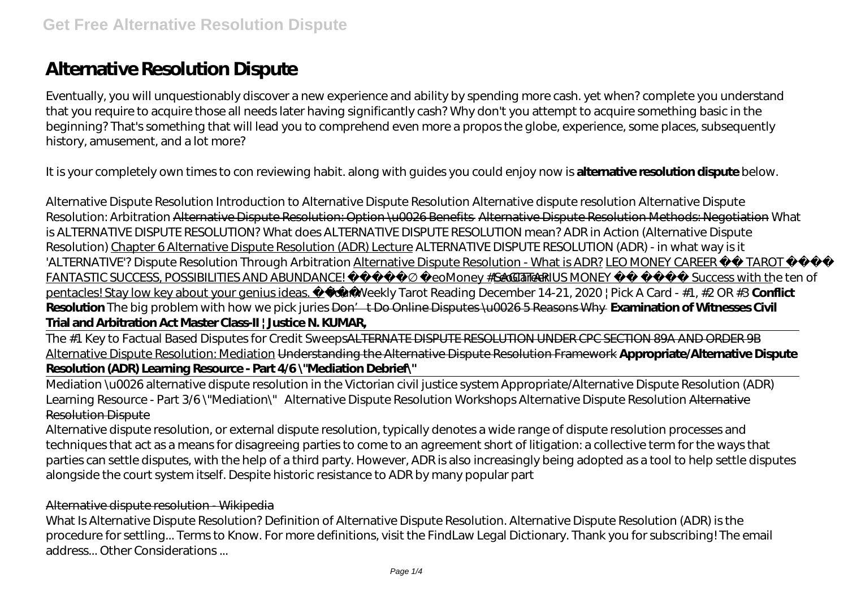# **Alternative Resolution Dispute**

Eventually, you will unquestionably discover a new experience and ability by spending more cash. yet when? complete you understand that you require to acquire those all needs later having significantly cash? Why don't you attempt to acquire something basic in the beginning? That's something that will lead you to comprehend even more a propos the globe, experience, some places, subsequently history, amusement, and a lot more?

It is your completely own times to con reviewing habit. along with guides you could enjoy now is **alternative resolution dispute** below.

*Alternative Dispute Resolution Introduction to Alternative Dispute Resolution Alternative dispute resolution* Alternative Dispute Resolution: Arbitration Alternative Dispute Resolution: Option \u0026 Benefits Alternative Dispute Resolution Methods: Negotiation What is ALTERNATIVE DISPUTE RESOLUTION? What does ALTERNATIVE DISPUTE RESOLUTION mean? ADR in Action (Alternative Dispute Resolution) Chapter 6 Alternative Dispute Resolution (ADR) Lecture ALTERNATIVE DISPUTE RESOLUTION (ADR) - in what way is it 'ALTERNATIVE'? Dispute Resolution Through Arbitration Alternative Dispute Resolution - What is ADR? LEO MONEY CAREER TAROT FANTASTIC SUCCESS, POSSIBILITIES AND ABUNDANCE! #LeoMoney #LeoCare@AGITTARIUS MONEY Success with the ten of pentacles! Stay low key about your genius ideas. *Your Weekly Tarot Reading December 14-21, 2020 | Pick A Card - #1, #2 OR #3* **Conflict** Resolution The big problem with how we pick juries <del>Don't Do Online Disputes \u0026 5 Reasons Why Examination of Witnesses Civil</del> **Trial and Arbitration Act Master Class-II | Justice N. KUMAR,**

The #1 Key to Factual Based Disputes for Credit SweepsALTERNATE DISPUTE RESOLUTION UNDER CPC SECTION 89A AND ORDER 9B Alternative Dispute Resolution: Mediation Understanding the Alternative Dispute Resolution Framework **Appropriate/Alternative Dispute Resolution (ADR) Learning Resource - Part 4/6 \"Mediation Debrief\"**

Mediation \u0026 alternative dispute resolution in the Victorian civil justice system *Appropriate/Alternative Dispute Resolution (ADR) Learning Resource - Part 3/6 \"Mediation\" Alternative Dispute Resolution Workshops Alternative Dispute Resolution* Alternative Resolution Dispute

Alternative dispute resolution, or external dispute resolution, typically denotes a wide range of dispute resolution processes and techniques that act as a means for disagreeing parties to come to an agreement short of litigation: a collective term for the ways that parties can settle disputes, with the help of a third party. However, ADR is also increasingly being adopted as a tool to help settle disputes alongside the court system itself. Despite historic resistance to ADR by many popular part

#### Alternative dispute resolution - Wikipedia

What Is Alternative Dispute Resolution? Definition of Alternative Dispute Resolution. Alternative Dispute Resolution (ADR) is the procedure for settling... Terms to Know. For more definitions, visit the FindLaw Legal Dictionary. Thank you for subscribing! The email address... Other Considerations ...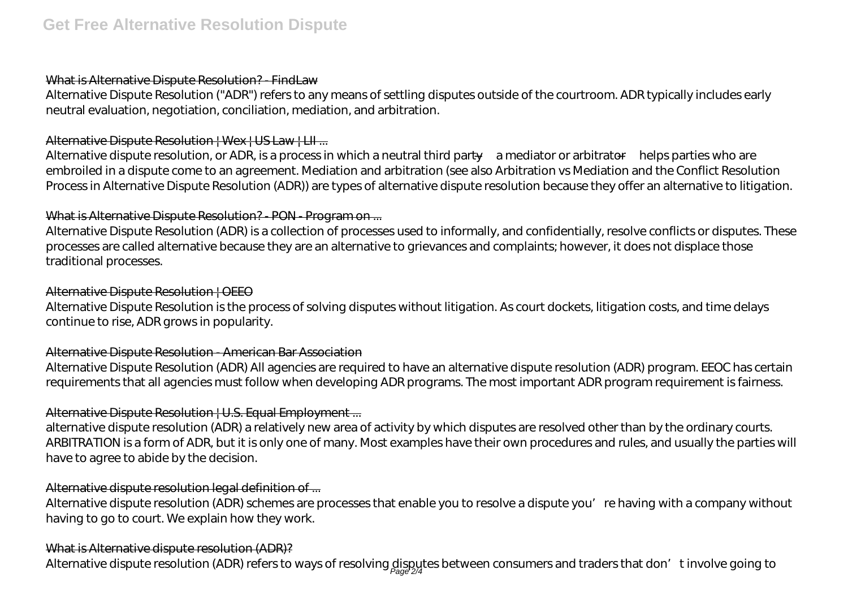#### What is Alternative Dispute Resolution? - FindLaw

Alternative Dispute Resolution ("ADR") refers to any means of settling disputes outside of the courtroom. ADR typically includes early neutral evaluation, negotiation, conciliation, mediation, and arbitration.

## Alternative Dispute Resolution | Wex | US Law | LII ...

Alternative dispute resolution, or ADR, is a process in which a neutral third party—a mediator or arbitrator—helps parties who are embroiled in a dispute come to an agreement. Mediation and arbitration (see also Arbitration vs Mediation and the Conflict Resolution Process in Alternative Dispute Resolution (ADR)) are types of alternative dispute resolution because they offer an alternative to litigation.

## What is Alternative Dispute Resolution? - PON - Program on ...

Alternative Dispute Resolution (ADR) is a collection of processes used to informally, and confidentially, resolve conflicts or disputes. These processes are called alternative because they are an alternative to grievances and complaints; however, it does not displace those traditional processes.

#### Alternative Dispute Resolution | OEEO

Alternative Dispute Resolution is the process of solving disputes without litigation. As court dockets, litigation costs, and time delays continue to rise, ADR grows in popularity.

#### Alternative Dispute Resolution - American Bar Association

Alternative Dispute Resolution (ADR) All agencies are required to have an alternative dispute resolution (ADR) program. EEOC has certain requirements that all agencies must follow when developing ADR programs. The most important ADR program requirement is fairness.

# Alternative Dispute Resolution | U.S. Equal Employment ...

alternative dispute resolution (ADR) a relatively new area of activity by which disputes are resolved other than by the ordinary courts. ARBITRATION is a form of ADR, but it is only one of many. Most examples have their own procedures and rules, and usually the parties will have to agree to abide by the decision.

# Alternative dispute resolution legal definition of ...

Alternative dispute resolution (ADR) schemes are processes that enable you to resolve a dispute you're having with a company without having to go to court. We explain how they work.

#### What is Alternative dispute resolution (ADR)?

Alternative dispute resolution (ADR) refers to ways of resolving disputes between consumers and traders that don't involve going to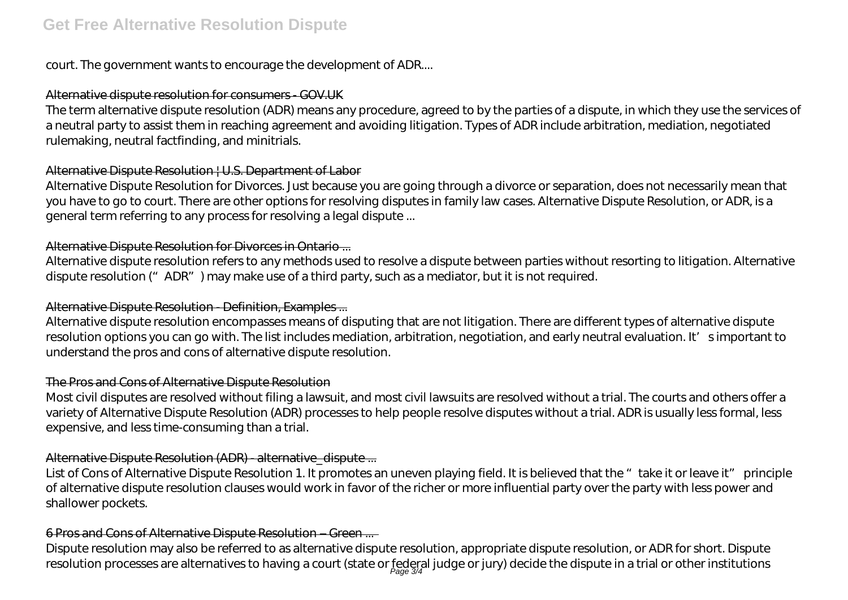court. The government wants to encourage the development of ADR....

#### Alternative dispute resolution for consumers - GOV.UK

The term alternative dispute resolution (ADR) means any procedure, agreed to by the parties of a dispute, in which they use the services of a neutral party to assist them in reaching agreement and avoiding litigation. Types of ADR include arbitration, mediation, negotiated rulemaking, neutral factfinding, and minitrials.

#### Alternative Dispute Resolution | U.S. Department of Labor

Alternative Dispute Resolution for Divorces. Just because you are going through a divorce or separation, does not necessarily mean that you have to go to court. There are other options for resolving disputes in family law cases. Alternative Dispute Resolution, or ADR, is a general term referring to any process for resolving a legal dispute ...

## Alternative Dispute Resolution for Divorces in Ontario ...

Alternative dispute resolution refers to any methods used to resolve a dispute between parties without resorting to litigation. Alternative dispute resolution ("ADR") may make use of a third party, such as a mediator, but it is not required.

## Alternative Dispute Resolution - Definition, Examples ...

Alternative dispute resolution encompasses means of disputing that are not litigation. There are different types of alternative dispute resolution options you can go with. The list includes mediation, arbitration, negotiation, and early neutral evaluation. It's important to understand the pros and cons of alternative dispute resolution.

#### The Pros and Cons of Alternative Dispute Resolution

Most civil disputes are resolved without filing a lawsuit, and most civil lawsuits are resolved without a trial. The courts and others offer a variety of Alternative Dispute Resolution (ADR) processes to help people resolve disputes without a trial. ADR is usually less formal, less expensive, and less time-consuming than a trial.

# Alternative Dispute Resolution (ADR) - alternative\_dispute ...

List of Cons of Alternative Dispute Resolution 1. It promotes an uneven playing field. It is believed that the "take it or leave it" principle of alternative dispute resolution clauses would work in favor of the richer or more influential party over the party with less power and shallower pockets.

#### 6 Pros and Cons of Alternative Dispute Resolution – Green ...

Dispute resolution may also be referred to as alternative dispute resolution, appropriate dispute resolution, or ADR for short. Dispute resolution processes are alternatives to having a court (state or federal judge or jury) decide the dispute in a trial or other institutions<br>